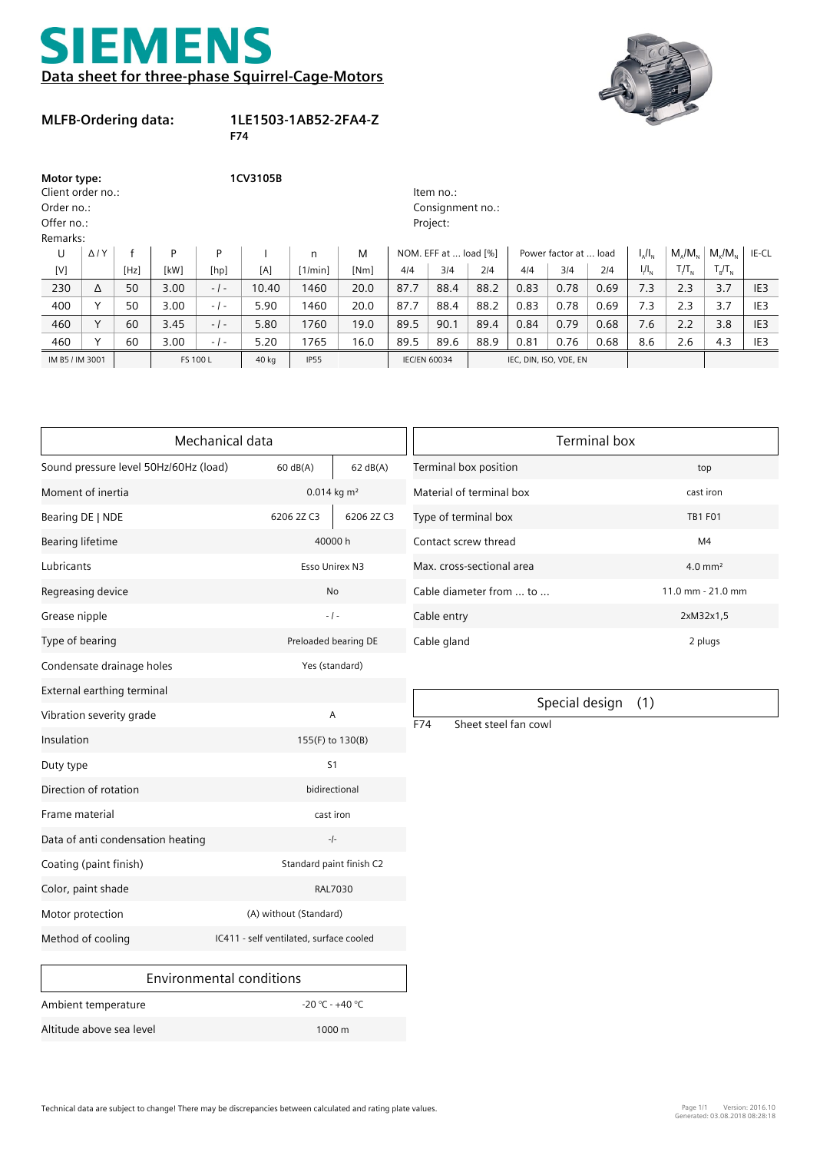## **EMENS**  $\blacktriangleleft$ **Data sheet for three-phase Squirrel-Cage-Motors**



## **MLFB-Ordering data:**

## **1LE1503-1AB52-2FA4-Z**

**F74**

| Motor type:<br>Client order no.:<br>Order no.:<br>Offer no.:<br>Remarks: |                |      | 1CV3105B<br>Item no.:<br>Consignment no.:<br>Project: |        |       |             |      |                     |                       |      |                        |                       |      |               |                                                     |                   |                 |
|--------------------------------------------------------------------------|----------------|------|-------------------------------------------------------|--------|-------|-------------|------|---------------------|-----------------------|------|------------------------|-----------------------|------|---------------|-----------------------------------------------------|-------------------|-----------------|
| U                                                                        | $\Delta$ / $Y$ |      | P                                                     | P      |       | n           | M    |                     | NOM. EFF at  load [%] |      |                        | Power factor at  load |      | $I_{A}/I_{N}$ | $M_{\scriptscriptstyle A}/M_{\scriptscriptstyle N}$ | $M_{\nu}/M_{\nu}$ | IE-CL           |
| [V]                                                                      |                | [Hz] | [kW]                                                  | [hp]   | [A]   | [1/min]     | [Nm] | 414                 | 314                   | 214  | 4/4                    | 3/4                   | 214  | $I/I_{N}$     | $T_I/T_N$                                           | $T_R/T_N$         |                 |
| 230                                                                      | Δ              | 50   | 3.00                                                  | $-1-$  | 10.40 | 1460        | 20.0 | 87.7                | 88.4                  | 88.2 | 0.83                   | 0.78                  | 0.69 | 7.3           | 2.3                                                 | 3.7               | IE <sub>3</sub> |
| 400                                                                      | $\checkmark$   | 50   | 3.00                                                  | $-1 -$ | 5.90  | 1460        | 20.0 | 87.7                | 88.4                  | 88.2 | 0.83                   | 0.78                  | 0.69 | 7.3           | 2.3                                                 | 3.7               | IE <sub>3</sub> |
| 460                                                                      | $\checkmark$   | 60   | 3.45                                                  | $-1-$  | 5.80  | 1760        | 19.0 | 89.5                | 90.1                  | 89.4 | 0.84                   | 0.79                  | 0.68 | 7.6           | 2.2                                                 | 3.8               | IE <sub>3</sub> |
| 460                                                                      |                | 60   | 3.00                                                  | $-1-$  | 5.20  | 1765        | 16.0 | 89.5                | 89.6                  | 88.9 | 0.81                   | 0.76                  | 0.68 | 8.6           | 2.6                                                 | 4.3               | IE <sub>3</sub> |
| IM B5 / IM 3001                                                          |                |      | FS 100 L                                              |        | 40 kg | <b>IP55</b> |      | <b>IEC/EN 60034</b> |                       |      | IEC, DIN, ISO, VDE, EN |                       |      |               |                                                     |                   |                 |

|                                                              | Mechanical data                 | <b>Terminal box</b>       |                                               |                       |  |  |
|--------------------------------------------------------------|---------------------------------|---------------------------|-----------------------------------------------|-----------------------|--|--|
| Sound pressure level 50Hz/60Hz (load)                        | 60 dB(A)                        | 62 dB(A)                  | Terminal box position                         | top                   |  |  |
| Moment of inertia                                            |                                 | $0.014$ kg m <sup>2</sup> | Material of terminal box                      | cast iron             |  |  |
| Bearing DE   NDE                                             | 6206 2Z C3                      | 6206 2Z C3                | Type of terminal box                          | <b>TB1 F01</b>        |  |  |
| <b>Bearing lifetime</b>                                      |                                 | 40000 h                   | Contact screw thread                          | M <sub>4</sub>        |  |  |
| Lubricants                                                   |                                 | Esso Unirex N3            | Max. cross-sectional area                     | $4.0$ mm <sup>2</sup> |  |  |
| Regreasing device                                            |                                 | No                        | Cable diameter from  to                       | 11.0 mm - 21.0 mm     |  |  |
| Grease nipple                                                |                                 | $-1 -$                    | Cable entry                                   | 2xM32x1,5             |  |  |
| Type of bearing                                              |                                 | Preloaded bearing DE      | Cable gland                                   | 2 plugs               |  |  |
| Condensate drainage holes                                    |                                 | Yes (standard)            |                                               |                       |  |  |
| External earthing terminal                                   |                                 |                           |                                               |                       |  |  |
| Vibration severity grade                                     |                                 | Α                         | Special design<br>F74<br>Sheet steel fan cowl | (1)                   |  |  |
| Insulation                                                   |                                 | 155(F) to 130(B)          |                                               |                       |  |  |
| Duty type                                                    |                                 | S <sub>1</sub>            |                                               |                       |  |  |
| Direction of rotation                                        |                                 | bidirectional             |                                               |                       |  |  |
| Frame material                                               |                                 | cast iron                 |                                               |                       |  |  |
| Data of anti condensation heating                            |                                 | $-1-$                     |                                               |                       |  |  |
| Coating (paint finish)                                       |                                 | Standard paint finish C2  |                                               |                       |  |  |
| Color, paint shade                                           |                                 | <b>RAL7030</b>            |                                               |                       |  |  |
| Motor protection                                             | (A) without (Standard)          |                           |                                               |                       |  |  |
| Method of cooling<br>IC411 - self ventilated, surface cooled |                                 |                           |                                               |                       |  |  |
|                                                              | <b>Environmental conditions</b> |                           |                                               |                       |  |  |

| Terminal box              |                       |  |  |  |  |
|---------------------------|-----------------------|--|--|--|--|
| Terminal box position     | top                   |  |  |  |  |
| Material of terminal box  | cast iron             |  |  |  |  |
| Type of terminal box      | <b>TB1 F01</b>        |  |  |  |  |
| Contact screw thread      | M4                    |  |  |  |  |
| Max. cross-sectional area | $4.0$ mm <sup>2</sup> |  |  |  |  |
| Cable diameter from  to   | $11.0$ mm - $21.0$ mm |  |  |  |  |
| Cable entry               | 2xM32x1,5             |  |  |  |  |
| Cable gland               | 2 plugs               |  |  |  |  |

Special design (1)

| Ambient temperature      | $-20$ °C - $+40$ °C |
|--------------------------|---------------------|
| Altitude above sea level | $1000 \,\mathrm{m}$ |
|                          |                     |